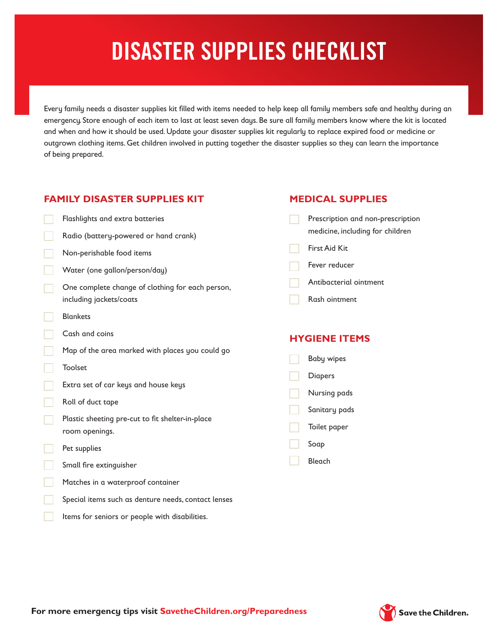# **DISASTER SUPPLIES CHECKLIST**

Every family needs a disaster supplies kit filled with items needed to help keep all family members safe and healthy during an emergency. Store enough of each item to last at least seven days. Be sure all family members know where the kit is located and when and how it should be used. Update your disaster supplies kit regularly to replace expired food or medicine or outgrown clothing items. Get children involved in putting together the disaster supplies so they can learn the importance of being prepared.

### **FAMILY DISASTER SUPPLIES KIT**

- Flashlights and extra batteries
- Radio (battery-powered or hand crank)
- Non-perishable food items
- Water (one gallon/person/day)
- One complete change of clothing for each person, including jackets/coats
- Blankets
- Cash and coins
- Map of the area marked with places you could go
- Toolset
- Extra set of car keys and house keys
- Roll of duct tape
- Plastic sheeting pre-cut to fit shelter-in-place room openings.
- Pet supplies
- Small fire extinguisher
- Matches in a waterproof container
- Special items such as denture needs, contact lenses
- Items for seniors or people with disabilities.

#### **MEDICAL SUPPLIES**

- Prescription and non-prescription medicine, including for children
- First Aid Kit
- Fever reducer
- Antibacterial ointment
- Rash ointment

#### **HYGIENE ITEMS**

- Baby wipes Diapers Nursing pads
- Sanitary pads
- Toilet paper
- Soap
- Bleach